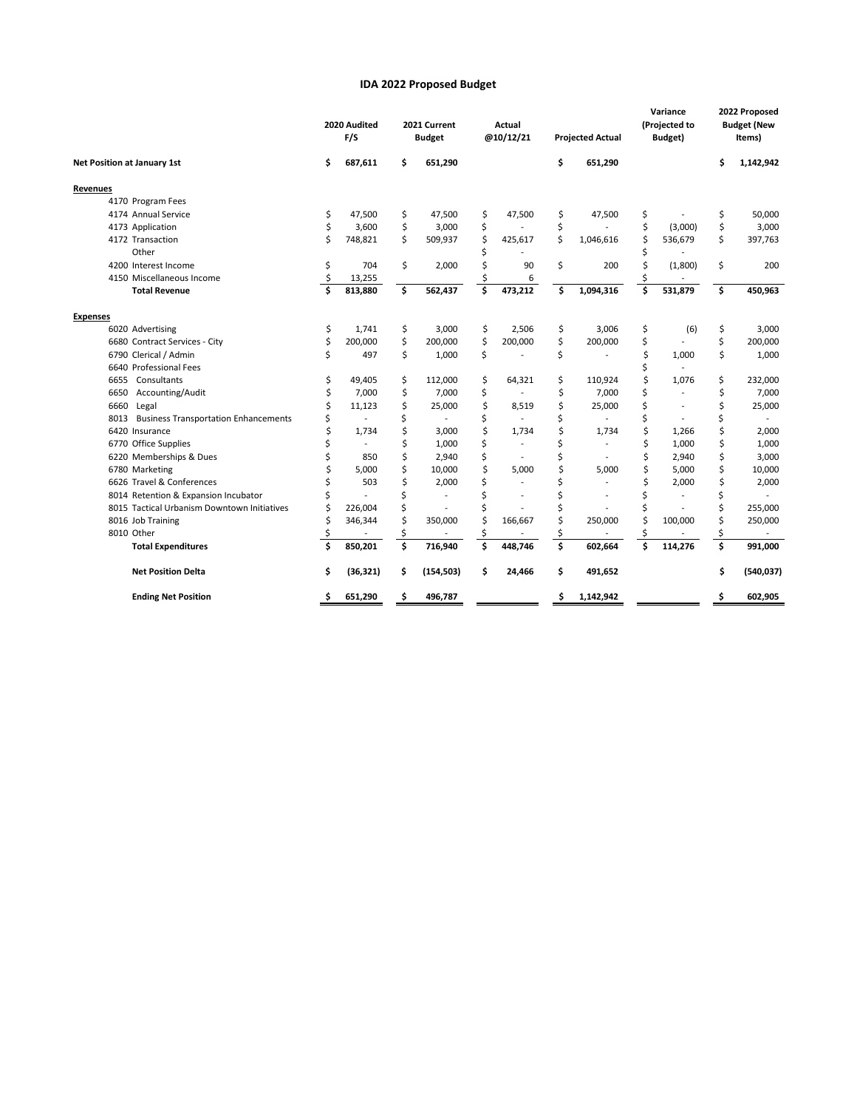## **IDA 2022 Proposed Budget**

| Net Position at January 1st                         |    | 2020 Audited<br>F/S |    | 2021 Current<br><b>Budget</b> |    | Actual<br>@10/12/21 |    | <b>Projected Actual</b> |    | Variance<br>(Projected to<br>Budget) |    | 2022 Proposed<br><b>Budget (New</b><br>Items) |  |
|-----------------------------------------------------|----|---------------------|----|-------------------------------|----|---------------------|----|-------------------------|----|--------------------------------------|----|-----------------------------------------------|--|
|                                                     |    | 687,611             | \$ | 651,290                       |    |                     | \$ | 651,290                 |    |                                      | \$ | 1,142,942                                     |  |
| Revenues                                            |    |                     |    |                               |    |                     |    |                         |    |                                      |    |                                               |  |
| 4170 Program Fees                                   |    |                     |    |                               |    |                     |    |                         |    |                                      |    |                                               |  |
| 4174 Annual Service                                 | \$ | 47.500              | \$ | 47,500                        | \$ | 47,500              | \$ | 47,500                  | \$ |                                      | \$ | 50,000                                        |  |
| 4173 Application                                    | \$ | 3,600               | \$ | 3,000                         | \$ |                     | \$ |                         | \$ | (3,000)                              | \$ | 3,000                                         |  |
| 4172 Transaction                                    | \$ | 748,821             | \$ | 509,937                       | Ś  | 425,617             | Ś  | 1,046,616               | \$ | 536,679                              | \$ | 397,763                                       |  |
| Other                                               |    |                     |    |                               |    |                     |    |                         | Ś  |                                      |    |                                               |  |
| 4200 Interest Income                                | \$ | 704                 | \$ | 2,000                         | Ś  | 90                  | \$ | 200                     | \$ | (1,800)                              | \$ | 200                                           |  |
| 4150 Miscellaneous Income                           | \$ | 13,255              |    |                               |    | 6                   |    |                         | \$ |                                      |    |                                               |  |
| <b>Total Revenue</b>                                | Ś  | 813,880             | \$ | 562,437                       | Ś  | 473,212             | Ś  | 1,094,316               | Ś  | 531,879                              | \$ | 450,963                                       |  |
| <b>Expenses</b>                                     |    |                     |    |                               |    |                     |    |                         |    |                                      |    |                                               |  |
| 6020 Advertising                                    | \$ | 1.741               | \$ | 3,000                         | \$ | 2,506               | \$ | 3,006                   | \$ | (6)                                  | \$ | 3,000                                         |  |
| 6680 Contract Services - City                       | \$ | 200,000             | \$ | 200,000                       | \$ | 200,000             | \$ | 200,000                 | \$ |                                      | \$ | 200,000                                       |  |
| 6790 Clerical / Admin                               | \$ | 497                 | \$ | 1,000                         | \$ |                     | \$ |                         | \$ | 1,000                                | \$ | 1,000                                         |  |
| 6640 Professional Fees                              |    |                     |    |                               |    |                     |    |                         | \$ |                                      |    |                                               |  |
| Consultants<br>6655                                 | \$ | 49,405              | \$ | 112,000                       | \$ | 64,321              | \$ | 110,924                 | \$ | 1,076                                | \$ | 232,000                                       |  |
| 6650<br>Accounting/Audit                            | Ś  | 7,000               | \$ | 7,000                         | \$ |                     | \$ | 7.000                   | Ś  |                                      | \$ | 7,000                                         |  |
| 6660<br>Legal                                       | Ś  | 11,123              | \$ | 25,000                        | \$ | 8,519               | \$ | 25,000                  | Ś  |                                      | \$ | 25,000                                        |  |
| <b>Business Transportation Enhancements</b><br>8013 | \$ | $\overline{a}$      | \$ | $\overline{a}$                | \$ | $\overline{a}$      | Ś  |                         | Ś  | $\overline{a}$                       | Ś  | $\sim$                                        |  |
| 6420 Insurance                                      | \$ | 1,734               | Ś  | 3,000                         | Ś  | 1,734               | Ś  | 1.734                   | \$ | 1,266                                | \$ | 2,000                                         |  |
| 6770 Office Supplies                                | \$ | $\overline{a}$      | Ś  | 1,000                         | Ś  |                     |    |                         | \$ | 1,000                                | \$ | 1,000                                         |  |
| 6220 Memberships & Dues                             | Ś  | 850                 | Ś  | 2,940                         | \$ |                     |    |                         | \$ | 2,940                                | \$ | 3,000                                         |  |
| 6780 Marketing                                      | Ś  | 5,000               | Ś  | 10,000                        | Ś  | 5,000               | Ś  | 5,000                   | \$ | 5,000                                | \$ | 10,000                                        |  |
| 6626 Travel & Conferences                           | Ś  | 503                 | Ś  | 2,000                         |    | $\overline{a}$      |    |                         | Ś  | 2,000                                | Ś  | 2,000                                         |  |
| 8014 Retention & Expansion Incubator                | Ś  |                     | Ś  |                               | Ś  |                     |    |                         |    |                                      | Ś  | $\overline{\phantom{a}}$                      |  |
| 8015 Tactical Urbanism Downtown Initiatives         | Ś  | 226,004             | \$ |                               |    |                     |    |                         | Ś  |                                      |    | 255,000                                       |  |
| 8016 Job Training                                   | Ś  | 346,344             | \$ | 350,000                       | Ś  | 166,667             | Ś  | 250,000                 | \$ | 100,000                              |    | 250,000                                       |  |
| 8010 Other                                          | Ś  |                     | \$ |                               |    |                     |    |                         | \$ |                                      | \$ |                                               |  |
| <b>Total Expenditures</b>                           | Ś  | 850,201             | Ś  | 716,940                       | Ś  | 448,746             | \$ | 602,664                 | Ś  | 114,276                              | \$ | 991,000                                       |  |
| <b>Net Position Delta</b>                           | \$ | (36, 321)           | \$ | (154, 503)                    | \$ | 24,466              | \$ | 491,652                 |    |                                      | \$ | (540, 037)                                    |  |
| <b>Ending Net Position</b>                          | \$ | 651,290             | \$ | 496,787                       |    |                     | \$ | 1,142,942               |    |                                      | Ś  | 602,905                                       |  |